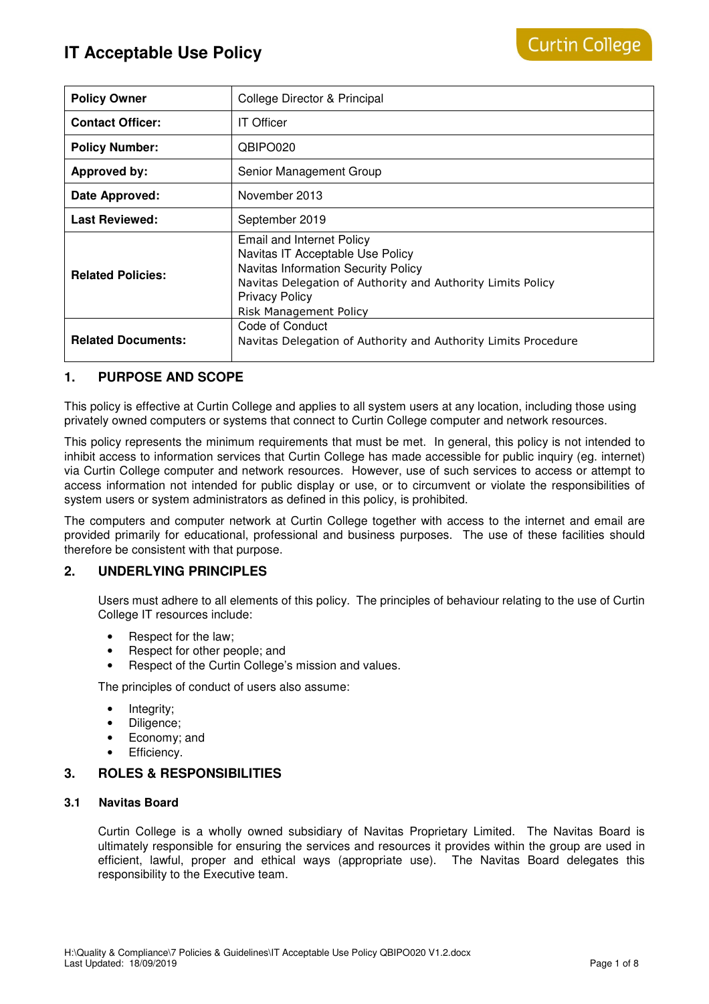| <b>Policy Owner</b>       | College Director & Principal                                                                                                                                                                                                         |
|---------------------------|--------------------------------------------------------------------------------------------------------------------------------------------------------------------------------------------------------------------------------------|
| <b>Contact Officer:</b>   | <b>IT Officer</b>                                                                                                                                                                                                                    |
| <b>Policy Number:</b>     | QBIPO020                                                                                                                                                                                                                             |
| Approved by:              | Senior Management Group                                                                                                                                                                                                              |
| Date Approved:            | November 2013                                                                                                                                                                                                                        |
| <b>Last Reviewed:</b>     | September 2019                                                                                                                                                                                                                       |
| <b>Related Policies:</b>  | <b>Email and Internet Policy</b><br>Navitas IT Acceptable Use Policy<br><b>Navitas Information Security Policy</b><br>Navitas Delegation of Authority and Authority Limits Policy<br><b>Privacy Policy</b><br>Risk Management Policy |
| <b>Related Documents:</b> | Code of Conduct<br>Navitas Delegation of Authority and Authority Limits Procedure                                                                                                                                                    |

## **1. PURPOSE AND SCOPE**

This policy is effective at Curtin College and applies to all system users at any location, including those using privately owned computers or systems that connect to Curtin College computer and network resources.

This policy represents the minimum requirements that must be met. In general, this policy is not intended to inhibit access to information services that Curtin College has made accessible for public inquiry (eg. internet) via Curtin College computer and network resources. However, use of such services to access or attempt to access information not intended for public display or use, or to circumvent or violate the responsibilities of system users or system administrators as defined in this policy, is prohibited.

The computers and computer network at Curtin College together with access to the internet and email are provided primarily for educational, professional and business purposes. The use of these facilities should therefore be consistent with that purpose.

## **2. UNDERLYING PRINCIPLES**

Users must adhere to all elements of this policy. The principles of behaviour relating to the use of Curtin College IT resources include:

- Respect for the law;
- Respect for other people; and
- Respect of the Curtin College's mission and values.

The principles of conduct of users also assume:

- Integrity;
- Diligence;
- Economy; and
- Efficiency.

## **3. ROLES & RESPONSIBILITIES**

#### **3.1 Navitas Board**

Curtin College is a wholly owned subsidiary of Navitas Proprietary Limited. The Navitas Board is ultimately responsible for ensuring the services and resources it provides within the group are used in efficient, lawful, proper and ethical ways (appropriate use). The Navitas Board delegates this responsibility to the Executive team.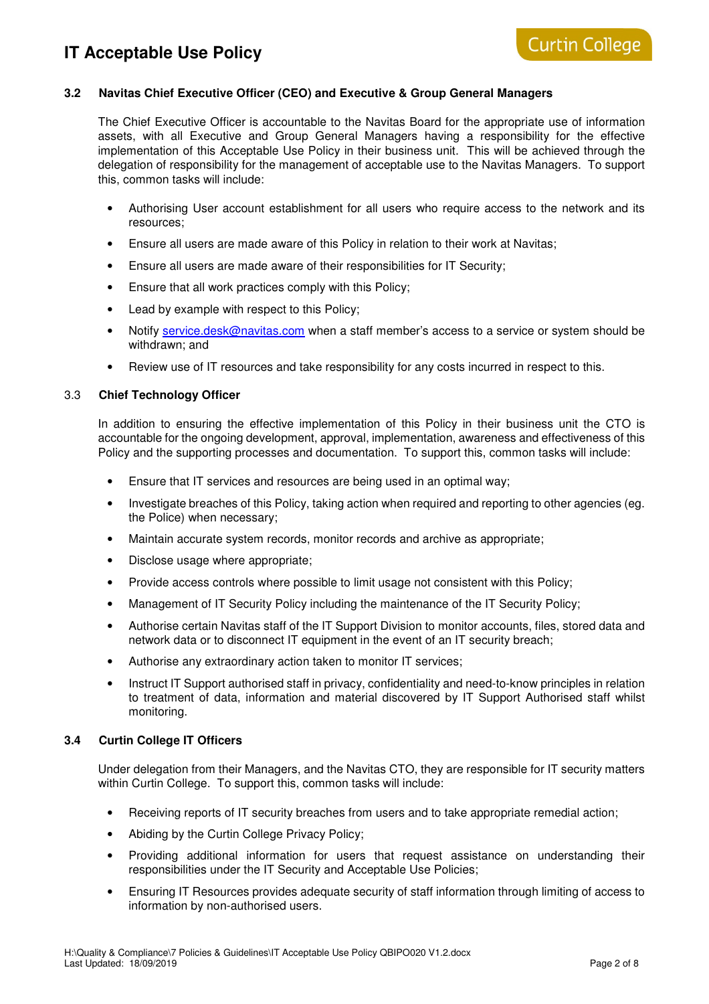## **3.2 Navitas Chief Executive Officer (CEO) and Executive & Group General Managers**

The Chief Executive Officer is accountable to the Navitas Board for the appropriate use of information assets, with all Executive and Group General Managers having a responsibility for the effective implementation of this Acceptable Use Policy in their business unit. This will be achieved through the delegation of responsibility for the management of acceptable use to the Navitas Managers. To support this, common tasks will include:

- Authorising User account establishment for all users who require access to the network and its resources;
- Ensure all users are made aware of this Policy in relation to their work at Navitas;
- Ensure all users are made aware of their responsibilities for IT Security;
- Ensure that all work practices comply with this Policy;
- Lead by example with respect to this Policy;
- Notify service.desk@navitas.com when a staff member's access to a service or system should be withdrawn; and
- Review use of IT resources and take responsibility for any costs incurred in respect to this.

### 3.3 **Chief Technology Officer**

In addition to ensuring the effective implementation of this Policy in their business unit the CTO is accountable for the ongoing development, approval, implementation, awareness and effectiveness of this Policy and the supporting processes and documentation. To support this, common tasks will include:

- Ensure that IT services and resources are being used in an optimal way;
- Investigate breaches of this Policy, taking action when required and reporting to other agencies (eg. the Police) when necessary;
- Maintain accurate system records, monitor records and archive as appropriate;
- Disclose usage where appropriate;
- Provide access controls where possible to limit usage not consistent with this Policy;
- Management of IT Security Policy including the maintenance of the IT Security Policy;
- Authorise certain Navitas staff of the IT Support Division to monitor accounts, files, stored data and network data or to disconnect IT equipment in the event of an IT security breach;
- Authorise any extraordinary action taken to monitor IT services;
- Instruct IT Support authorised staff in privacy, confidentiality and need-to-know principles in relation to treatment of data, information and material discovered by IT Support Authorised staff whilst monitoring.

#### **3.4 Curtin College IT Officers**

Under delegation from their Managers, and the Navitas CTO, they are responsible for IT security matters within Curtin College. To support this, common tasks will include:

- Receiving reports of IT security breaches from users and to take appropriate remedial action;
- Abiding by the Curtin College Privacy Policy;
- Providing additional information for users that request assistance on understanding their responsibilities under the IT Security and Acceptable Use Policies;
- Ensuring IT Resources provides adequate security of staff information through limiting of access to information by non-authorised users.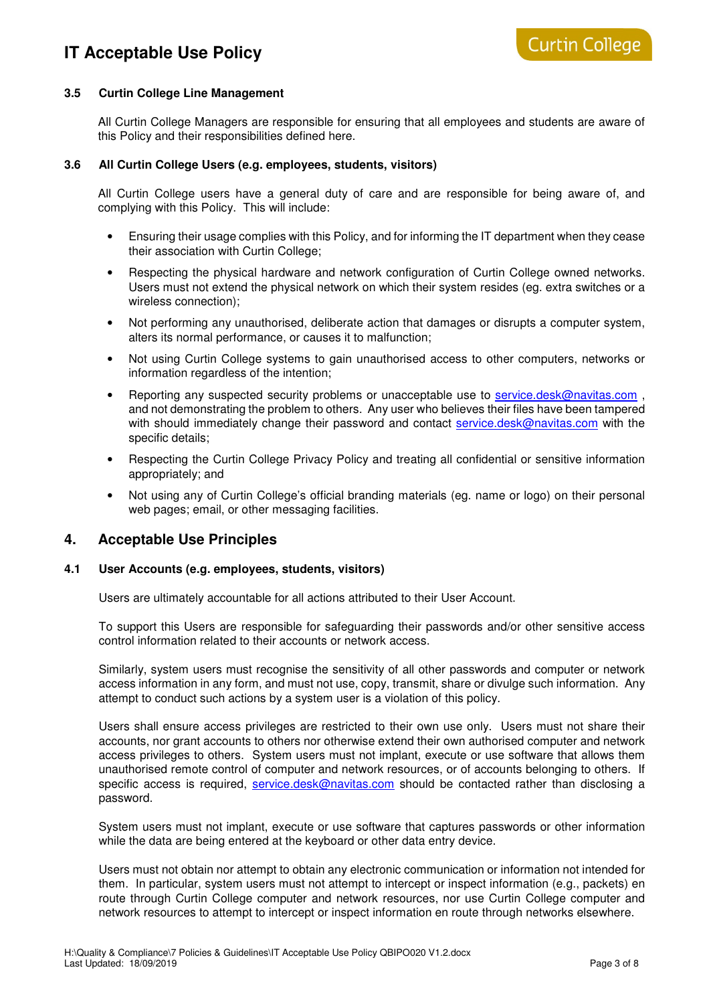## **3.5 Curtin College Line Management**

All Curtin College Managers are responsible for ensuring that all employees and students are aware of this Policy and their responsibilities defined here.

#### **3.6 All Curtin College Users (e.g. employees, students, visitors)**

All Curtin College users have a general duty of care and are responsible for being aware of, and complying with this Policy. This will include:

- Ensuring their usage complies with this Policy, and for informing the IT department when they cease their association with Curtin College;
- Respecting the physical hardware and network configuration of Curtin College owned networks. Users must not extend the physical network on which their system resides (eg. extra switches or a wireless connection);
- Not performing any unauthorised, deliberate action that damages or disrupts a computer system, alters its normal performance, or causes it to malfunction;
- Not using Curtin College systems to gain unauthorised access to other computers, networks or information regardless of the intention;
- Reporting any suspected security problems or unacceptable use to service.desk@navitas.com and not demonstrating the problem to others. Any user who believes their files have been tampered with should immediately change their password and contact service.desk@navitas.com with the specific details;
- Respecting the Curtin College Privacy Policy and treating all confidential or sensitive information appropriately; and
- Not using any of Curtin College's official branding materials (eg. name or logo) on their personal web pages; email, or other messaging facilities.

## **4. Acceptable Use Principles**

#### **4.1 User Accounts (e.g. employees, students, visitors)**

Users are ultimately accountable for all actions attributed to their User Account.

To support this Users are responsible for safeguarding their passwords and/or other sensitive access control information related to their accounts or network access.

Similarly, system users must recognise the sensitivity of all other passwords and computer or network access information in any form, and must not use, copy, transmit, share or divulge such information. Any attempt to conduct such actions by a system user is a violation of this policy.

Users shall ensure access privileges are restricted to their own use only. Users must not share their accounts, nor grant accounts to others nor otherwise extend their own authorised computer and network access privileges to others. System users must not implant, execute or use software that allows them unauthorised remote control of computer and network resources, or of accounts belonging to others. If specific access is required, service.desk@navitas.com should be contacted rather than disclosing a password.

System users must not implant, execute or use software that captures passwords or other information while the data are being entered at the keyboard or other data entry device.

Users must not obtain nor attempt to obtain any electronic communication or information not intended for them. In particular, system users must not attempt to intercept or inspect information (e.g., packets) en route through Curtin College computer and network resources, nor use Curtin College computer and network resources to attempt to intercept or inspect information en route through networks elsewhere.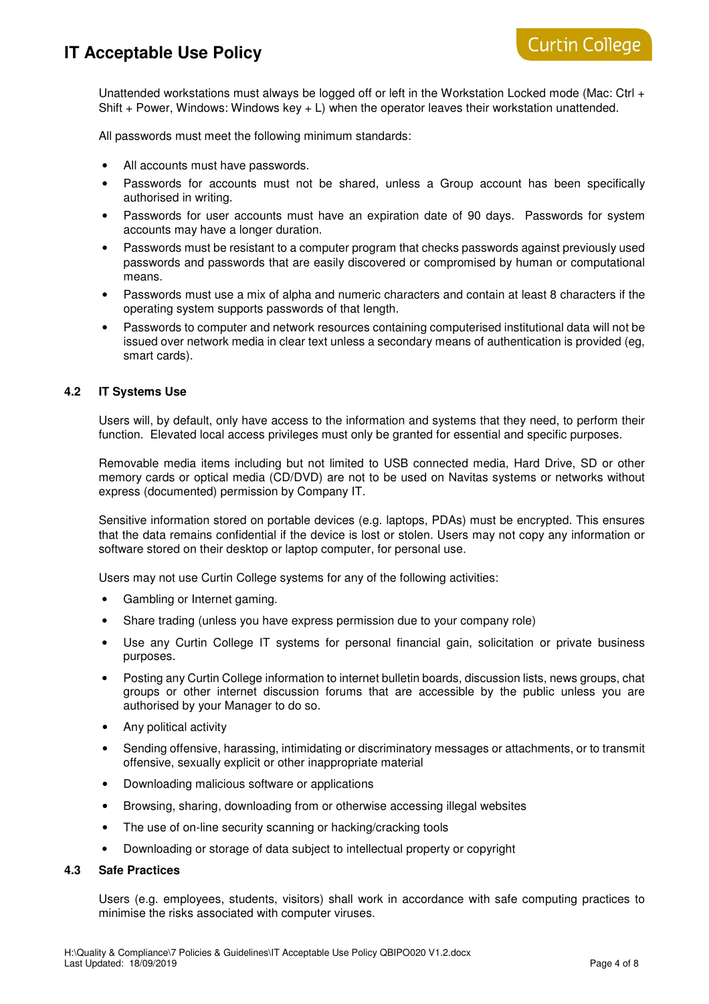Unattended workstations must always be logged off or left in the Workstation Locked mode (Mac: Ctrl + Shift  $+$  Power, Windows: Windows key  $+$  L) when the operator leaves their workstation unattended.

All passwords must meet the following minimum standards:

- All accounts must have passwords.
- Passwords for accounts must not be shared, unless a Group account has been specifically authorised in writing.
- Passwords for user accounts must have an expiration date of 90 days. Passwords for system accounts may have a longer duration.
- Passwords must be resistant to a computer program that checks passwords against previously used passwords and passwords that are easily discovered or compromised by human or computational means.
- Passwords must use a mix of alpha and numeric characters and contain at least 8 characters if the operating system supports passwords of that length.
- Passwords to computer and network resources containing computerised institutional data will not be issued over network media in clear text unless a secondary means of authentication is provided (eg, smart cards).

### **4.2 IT Systems Use**

Users will, by default, only have access to the information and systems that they need, to perform their function. Elevated local access privileges must only be granted for essential and specific purposes.

Removable media items including but not limited to USB connected media, Hard Drive, SD or other memory cards or optical media (CD/DVD) are not to be used on Navitas systems or networks without express (documented) permission by Company IT.

Sensitive information stored on portable devices (e.g. laptops, PDAs) must be encrypted. This ensures that the data remains confidential if the device is lost or stolen. Users may not copy any information or software stored on their desktop or laptop computer, for personal use.

Users may not use Curtin College systems for any of the following activities:

- Gambling or Internet gaming.
- Share trading (unless you have express permission due to your company role)
- Use any Curtin College IT systems for personal financial gain, solicitation or private business purposes.
- Posting any Curtin College information to internet bulletin boards, discussion lists, news groups, chat groups or other internet discussion forums that are accessible by the public unless you are authorised by your Manager to do so.
- Any political activity
- Sending offensive, harassing, intimidating or discriminatory messages or attachments, or to transmit offensive, sexually explicit or other inappropriate material
- Downloading malicious software or applications
- Browsing, sharing, downloading from or otherwise accessing illegal websites
- The use of on-line security scanning or hacking/cracking tools
- Downloading or storage of data subject to intellectual property or copyright

#### **4.3 Safe Practices**

Users (e.g. employees, students, visitors) shall work in accordance with safe computing practices to minimise the risks associated with computer viruses.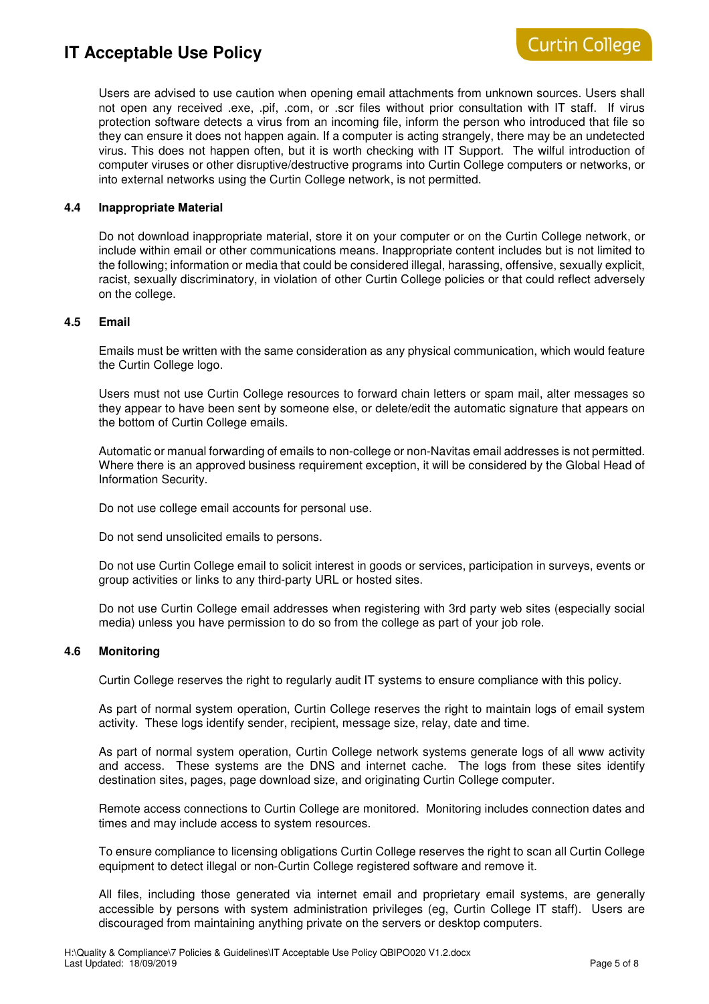Users are advised to use caution when opening email attachments from unknown sources. Users shall not open any received .exe, .pif, .com, or .scr files without prior consultation with IT staff. If virus protection software detects a virus from an incoming file, inform the person who introduced that file so they can ensure it does not happen again. If a computer is acting strangely, there may be an undetected virus. This does not happen often, but it is worth checking with IT Support. The wilful introduction of computer viruses or other disruptive/destructive programs into Curtin College computers or networks, or into external networks using the Curtin College network, is not permitted.

## **4.4 Inappropriate Material**

Do not download inappropriate material, store it on your computer or on the Curtin College network, or include within email or other communications means. Inappropriate content includes but is not limited to the following; information or media that could be considered illegal, harassing, offensive, sexually explicit, racist, sexually discriminatory, in violation of other Curtin College policies or that could reflect adversely on the college.

#### **4.5 Email**

Emails must be written with the same consideration as any physical communication, which would feature the Curtin College logo.

Users must not use Curtin College resources to forward chain letters or spam mail, alter messages so they appear to have been sent by someone else, or delete/edit the automatic signature that appears on the bottom of Curtin College emails.

Automatic or manual forwarding of emails to non-college or non-Navitas email addresses is not permitted. Where there is an approved business requirement exception, it will be considered by the Global Head of Information Security.

Do not use college email accounts for personal use.

Do not send unsolicited emails to persons.

Do not use Curtin College email to solicit interest in goods or services, participation in surveys, events or group activities or links to any third-party URL or hosted sites.

Do not use Curtin College email addresses when registering with 3rd party web sites (especially social media) unless you have permission to do so from the college as part of your job role.

#### **4.6 Monitoring**

Curtin College reserves the right to regularly audit IT systems to ensure compliance with this policy.

As part of normal system operation, Curtin College reserves the right to maintain logs of email system activity. These logs identify sender, recipient, message size, relay, date and time.

As part of normal system operation, Curtin College network systems generate logs of all www activity and access. These systems are the DNS and internet cache. The logs from these sites identify destination sites, pages, page download size, and originating Curtin College computer.

Remote access connections to Curtin College are monitored. Monitoring includes connection dates and times and may include access to system resources.

To ensure compliance to licensing obligations Curtin College reserves the right to scan all Curtin College equipment to detect illegal or non-Curtin College registered software and remove it.

All files, including those generated via internet email and proprietary email systems, are generally accessible by persons with system administration privileges (eg, Curtin College IT staff). Users are discouraged from maintaining anything private on the servers or desktop computers.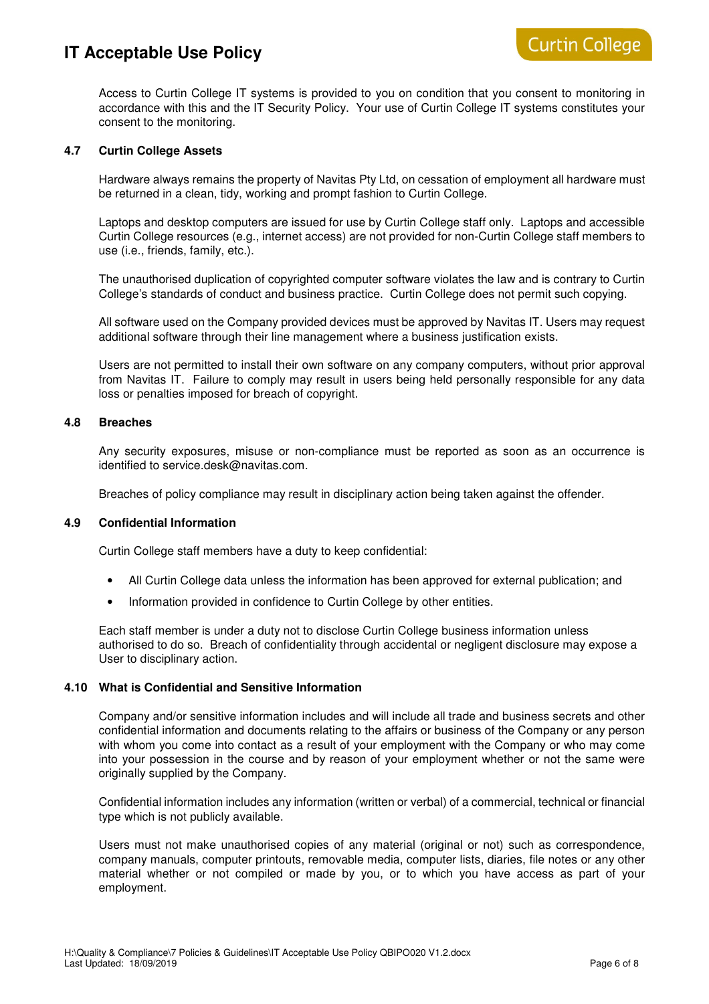Access to Curtin College IT systems is provided to you on condition that you consent to monitoring in accordance with this and the IT Security Policy. Your use of Curtin College IT systems constitutes your consent to the monitoring.

### **4.7 Curtin College Assets**

Hardware always remains the property of Navitas Pty Ltd, on cessation of employment all hardware must be returned in a clean, tidy, working and prompt fashion to Curtin College.

Laptops and desktop computers are issued for use by Curtin College staff only. Laptops and accessible Curtin College resources (e.g., internet access) are not provided for non-Curtin College staff members to use (i.e., friends, family, etc.).

The unauthorised duplication of copyrighted computer software violates the law and is contrary to Curtin College's standards of conduct and business practice. Curtin College does not permit such copying.

All software used on the Company provided devices must be approved by Navitas IT. Users may request additional software through their line management where a business justification exists.

Users are not permitted to install their own software on any company computers, without prior approval from Navitas IT. Failure to comply may result in users being held personally responsible for any data loss or penalties imposed for breach of copyright.

### **4.8 Breaches**

Any security exposures, misuse or non-compliance must be reported as soon as an occurrence is identified to service.desk@navitas.com.

Breaches of policy compliance may result in disciplinary action being taken against the offender.

#### **4.9 Confidential Information**

Curtin College staff members have a duty to keep confidential:

- All Curtin College data unless the information has been approved for external publication; and
- Information provided in confidence to Curtin College by other entities.

Each staff member is under a duty not to disclose Curtin College business information unless authorised to do so. Breach of confidentiality through accidental or negligent disclosure may expose a User to disciplinary action.

## **4.10 What is Confidential and Sensitive Information**

Company and/or sensitive information includes and will include all trade and business secrets and other confidential information and documents relating to the affairs or business of the Company or any person with whom you come into contact as a result of your employment with the Company or who may come into your possession in the course and by reason of your employment whether or not the same were originally supplied by the Company.

Confidential information includes any information (written or verbal) of a commercial, technical or financial type which is not publicly available.

Users must not make unauthorised copies of any material (original or not) such as correspondence, company manuals, computer printouts, removable media, computer lists, diaries, file notes or any other material whether or not compiled or made by you, or to which you have access as part of your employment.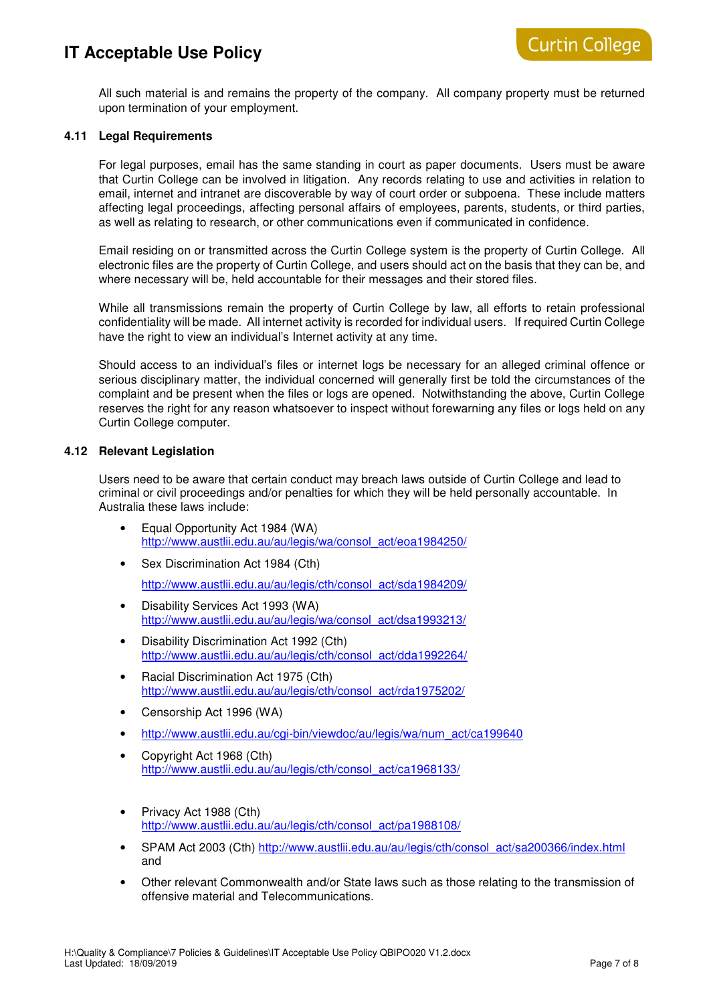All such material is and remains the property of the company. All company property must be returned upon termination of your employment.

## **4.11 Legal Requirements**

For legal purposes, email has the same standing in court as paper documents. Users must be aware that Curtin College can be involved in litigation. Any records relating to use and activities in relation to email, internet and intranet are discoverable by way of court order or subpoena. These include matters affecting legal proceedings, affecting personal affairs of employees, parents, students, or third parties, as well as relating to research, or other communications even if communicated in confidence.

Email residing on or transmitted across the Curtin College system is the property of Curtin College. All electronic files are the property of Curtin College, and users should act on the basis that they can be, and where necessary will be, held accountable for their messages and their stored files.

While all transmissions remain the property of Curtin College by law, all efforts to retain professional confidentiality will be made. All internet activity is recorded for individual users. If required Curtin College have the right to view an individual's Internet activity at any time.

Should access to an individual's files or internet logs be necessary for an alleged criminal offence or serious disciplinary matter, the individual concerned will generally first be told the circumstances of the complaint and be present when the files or logs are opened. Notwithstanding the above, Curtin College reserves the right for any reason whatsoever to inspect without forewarning any files or logs held on any Curtin College computer.

### **4.12 Relevant Legislation**

Users need to be aware that certain conduct may breach laws outside of Curtin College and lead to criminal or civil proceedings and/or penalties for which they will be held personally accountable. In Australia these laws include:

- Equal Opportunity Act 1984 (WA) http://www.austlii.edu.au/au/legis/wa/consol\_act/eoa1984250/
- Sex Discrimination Act 1984 (Cth) http://www.austlii.edu.au/au/legis/cth/consol\_act/sda1984209/
- Disability Services Act 1993 (WA) http://www.austlii.edu.au/au/legis/wa/consol\_act/dsa1993213/
- Disability Discrimination Act 1992 (Cth) http://www.austlii.edu.au/au/legis/cth/consol\_act/dda1992264/
- Racial Discrimination Act 1975 (Cth) http://www.austlii.edu.au/au/legis/cth/consol\_act/rda1975202/
- Censorship Act 1996 (WA)
- http://www.austlii.edu.au/cgi-bin/viewdoc/au/legis/wa/num\_act/ca199640
- Copyright Act 1968 (Cth) http://www.austlii.edu.au/au/legis/cth/consol\_act/ca1968133/
- Privacy Act 1988 (Cth) http://www.austlii.edu.au/au/legis/cth/consol\_act/pa1988108/
- SPAM Act 2003 (Cth) http://www.austlii.edu.au/au/legis/cth/consol\_act/sa200366/index.html and
- Other relevant Commonwealth and/or State laws such as those relating to the transmission of offensive material and Telecommunications.